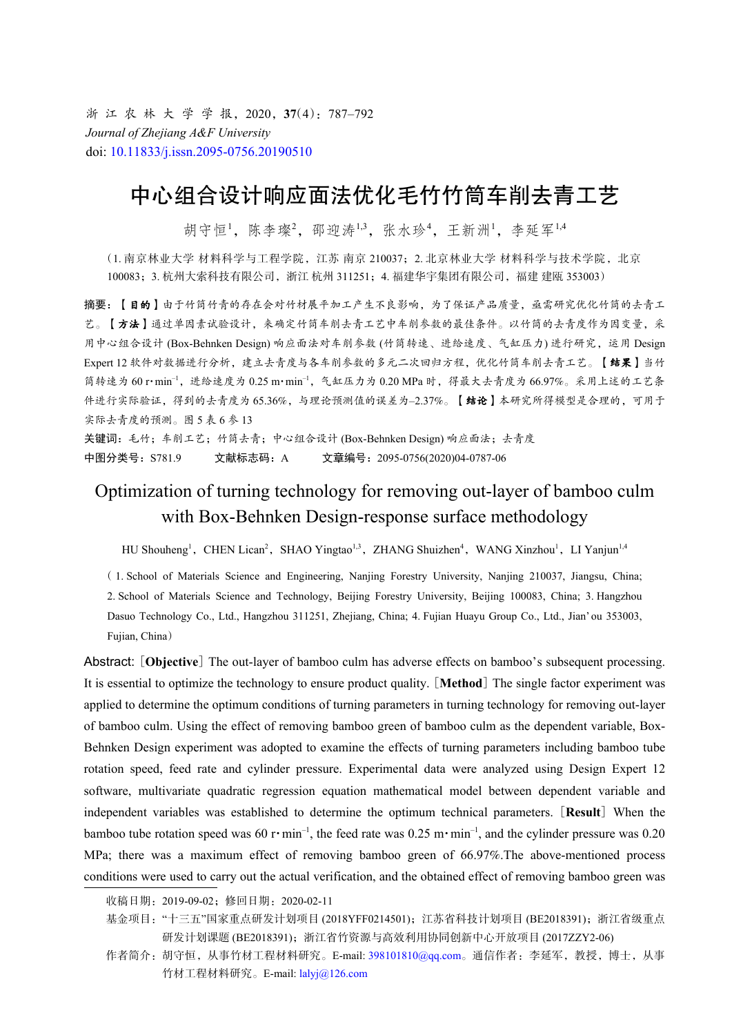浙 江 农 林 大 学 学 报,2020,**37**(4):787–792 *Journal of Zhejiang A&F University* doi: [10.11833/j.issn.2095-0756.20190510](https://doi.org/10.11833/j.issn.2095-0756.20190510)

# 中心组合设计响应面法优化毛竹竹筒车削去青工艺

胡守恒<sup>1</sup>,陈李璨<sup>2</sup>,邵迎涛<sup>1,3</sup>,张水珍4,王新洲<sup>1</sup>,李延军<sup>1,4</sup>

(1. 南京林业大学 材料科学与工程学院,江苏 南京 210037;2. 北京林业大学 材料科学与技术学院, 北京 100083;3. 杭州大索科技有限公司,浙江 杭州 311251;4. 福建华宇集团有限公司,福建 建瓯 353003)

摘要:【目的】由于竹筒竹青的存在会对竹材展平加工产生不良影响,为了保证产品质量,亟需研究优化竹筒的去青工 艺。【方法】通过单因素试验设计,来确定竹筒车削去青工艺中车削参数的最佳条件。以竹筒的去青度作为因变量,采 用中心组合设计 (Box-Behnken Design) 响应面法对车削参数 (竹筒转速、进给速度、气缸压力) 进行研究,运用 Design Expert 12 软件对数据进行分析,建立去青度与各车削参数的多元二次回归方程,优化竹筒车削去青工艺。【结果】当竹 筒转速为 60 r·min<sup>-1</sup>, 进给速度为 0.25 m·min<sup>-1</sup>, 气缸压力为 0.20 MPa 时, 得最大去青度为 66.97%。采用上述的工艺条 件进行实际验证,得到的去青度为 65.36%,与理论预测值的误差为–2.37%。【结论】本研究所得模型是合理的,可用于 实际去青度的预测。图 5 表 6 参 13

关键词:毛竹;车削工艺;竹筒去青;中心组合设计 (Box-Behnken Design) 响应面法;去青度 中图分类号:S781.9 文献标志码:A 文章编号:2095-0756(2020)04-0787-06

# Optimization of turning technology for removing out-layer of bamboo culm with Box-Behnken Design-response surface methodology

HU Shouheng<sup>1</sup>, CHEN Lican<sup>2</sup>, SHAO Yingtao<sup>1,3</sup>, ZHANG Shuizhen<sup>4</sup>, WANG Xinzhou<sup>1</sup>, LI Yanjun<sup>1,4</sup>

( 1. School of Materials Science and Engineering, Nanjing Forestry University, Nanjing 210037, Jiangsu, China; 2. School of Materials Science and Technology, Beijing Forestry University, Beijing 100083, China; 3. Hangzhou Dasuo Technology Co., Ltd., Hangzhou 311251, Zhejiang, China; 4. Fujian Huayu Group Co., Ltd., Jian' ou 353003, Fujian, China)

Abstract: [**Objective**] The out-layer of bamboo culm has adverse effects on bamboo's subsequent processing. It is essential to optimize the technology to ensure product quality. [**Method**] The single factor experiment was applied to determine the optimum conditions of turning parameters in turning technology for removing out-layer of bamboo culm. Using the effect of removing bamboo green of bamboo culm as the dependent variable, Box-Behnken Design experiment was adopted to examine the effects of turning parameters including bamboo tube rotation speed, feed rate and cylinder pressure. Experimental data were analyzed using Design Expert 12 software, multivariate quadratic regression equation mathematical model between dependent variable and independent variables was established to determine the optimum technical parameters. [**Result**] When the bamboo tube rotation speed was 60 r·min<sup>-1</sup>, the feed rate was 0.25 m·min<sup>-1</sup>, and the cylinder pressure was 0.20 MPa; there was a maximum effect of removing bamboo green of 66.97%. The above-mentioned process conditions were used to carry out the actual verification, and the obtained effect of removing bamboo green was

- 基金项目: "十三五"国家重点研发计划项目 (2018YFF0214501); 江苏省科技计划项目 (BE2018391); 浙江省级重点 研发计划课题 (BE2018391);浙江省竹资源与高效利用协同创新中心开放项目 (2017ZZY2-06)
- 作者简介: 胡守恒, 从事竹材工程材料研究。E-mail: [398101810@qq.com](mailto:398101810@qq.com)。通信作者: 李延军, 教授, 博士, 从事 竹材工程材料研究。E-mail: [lalyj@126.com](mailto:lalyj@126.com)

收稿日期:2019-09-02;修回日期:2020-02-11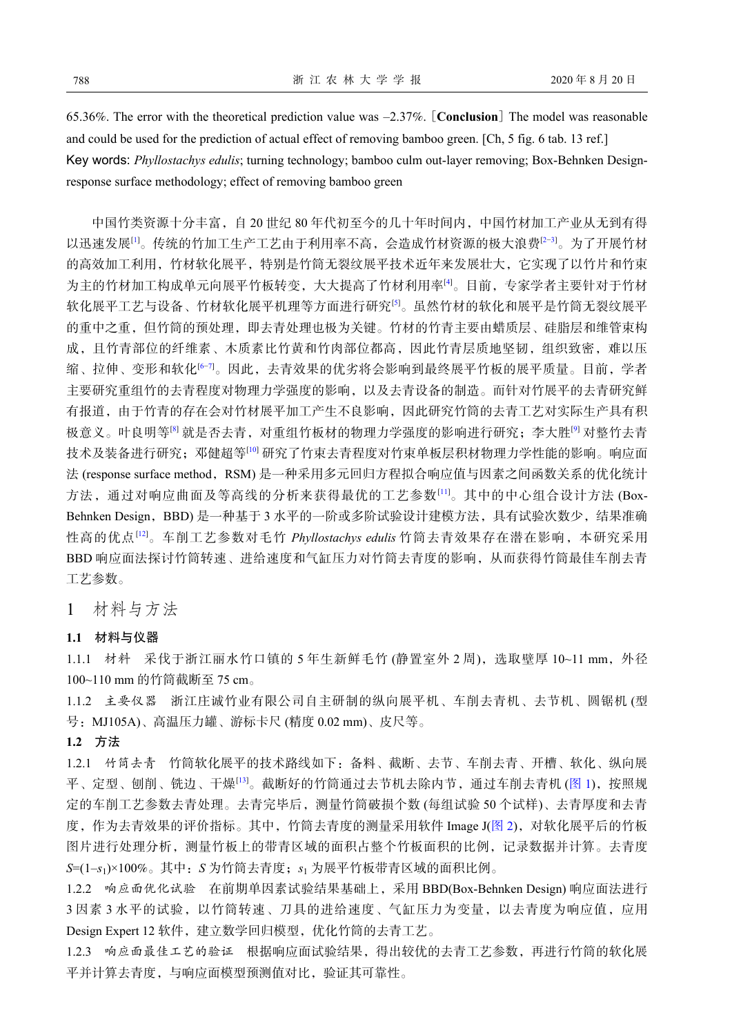65.36%. The error with the theoretical prediction value was –2.37%. [**Conclusion**] The model was reasonable and could be used for the prediction of actual effect of removing bamboo green. [Ch, 5 fig. 6 tab. 13 ref.] Key words: *Phyllostachys edulis*; turning technology; bamboo culm out-layer removing; Box-Behnken Designresponse surface methodology; effect of removing bamboo green

中国竹类资源十分丰富,自 20 世纪 80 年代初至今的几十年时间内,中国竹材加工产业从无到有得 以迅速发展[[1\]](#page-5-0)。传统的竹加工生产工艺由于利用率不高,会造成竹材资源的极大浪费[[2](#page-5-1)[−3](#page-5-2)]。为了开展竹材 的高效加工利用,竹材软化展平,特别是竹筒无裂纹展平技术近年来发展壮大,它实现了以竹片和竹束 为主的竹材加工构成单元向展平竹板转变,大大提高了竹材利用率[\[4](#page-5-3)]。目前,专家学者主要针对于竹材 软化展平工艺与设备、竹材软化展平机理等方面进行研究<sup>[[5\]](#page-5-4)</sup>。虽然竹材的软化和展平是竹筒无裂纹展平 的重中之重,但竹筒的预处理,即去青处理也极为关键。竹材的竹青主要由蜡质层、硅脂层和维管束构 成,且竹青部位的纤维素、木质素比竹黄和竹肉部位都高,因此竹青层质地坚韧,组织致密,难以压 缩、拉伸、变形和软化[[6](#page-5-5)[−7\]](#page-5-6)。因此,去青效果的优劣将会影响到最终展平竹板的展平质量。目前,学者 主要研究重组竹的去青程度对物理力学强度的影响,以及去青设备的制造。而针对竹展平的去青研究鲜 有报道,由于竹青的存在会对竹材展平加工产生不良影响,因此研究竹筒的去青工艺对实际生产具有积 极意义。叶良明等<sup>8]</sup> 就是否去青, 对重组竹板材的物理力学强度的影响进行研究; 李大胜<sup>[[9\]](#page-5-8)</sup> 对整竹去青 技术及装备进行研究;邓健超等[\[10\]](#page-5-9) 研究了竹束去青程度对竹束单板层积材物理力学性能的影响。响应面 法 (response surface method, RSM) 是一种采用多元回归方程拟合[响应](#page-5-10)值与因素之间函数关系的优化统计 方法,通过对响应曲面及等高线的分析来获得最优的工艺参数[\[11](#page-5-10)]。其中的中心组合设计方法 (BoxBehnken Desi[gn](#page-5-11), BBD) 是一种基于 3 水平的一阶或多阶试验设计建模方法, 具有试验次数少, 结果准确 性高的优点[[12\]](#page-5-11)。车削工艺参数对毛竹 *Phyllostachys edulis* 竹筒去青效果存在潜在影响,本研究采用 BBD 响应面法探讨竹筒转速、进给速度和气缸压力对竹筒去青度的影响,从而获得竹筒最佳车削去青 工艺参数。

## 1 材料与方法

### **1.1** 材料与仪器

1.1.1 材料 采伐于浙江丽水竹口镇的 5年生新鲜毛竹 (静置室外 2 周), 选取壁厚 10~11 mm, 外径 100~110 mm 的竹筒截断至 75 cm。

1.1.2 主要仪器 浙江庄诚竹业有限公司自主研制的纵向展平机、车削去青机、去节机、圆锯机 (型 号:MJ105A)、高温压力罐、游标卡尺 (精度 0.02 mm)、皮尺等。

### **1.2** 方法

1.2.1 竹筒去青 竹筒软化展[平](#page-5-12)的技术路线如下:备料、截断、去节、车削去青、开槽[、软化](#page-2-0)、纵向展 平、定型、刨削、铣边、干燥[\[13](#page-5-12)]。截断好的竹筒通过去节机去除内节,通过车削去青机 ([图](#page-2-0) [1](#page-2-0)),按照规 定的车削工艺参数去青处理。去青完毕后,测量竹筒破损个数 (每组试验 50 [个试](#page-2-1)样)、去青厚度和去青 度,作为去青效果的评价指标。其中,竹筒去青度的测量采用软件 Image J([图](#page-2-1) [2\)](#page-2-1), 对软化展平后的竹板 图片进行处理分析,测量竹板上的带青区域的面积占整个竹板面积的比例,记录数据并计算。去青度 *S*=(1–*s*<sup>1</sup> )×100%。其中:*S* 为竹筒去青度;*s*<sup>1</sup> 为展平竹板带青区域的面积比例。

1.2.2 响应面优化试验 在前期单因素试验结果基础上,采用 BBD(Box-Behnken Design) 响应面法进行 3 因素 3 水平的试验,以竹筒转速、刀具的进给速度、气缸压力为变量,以去青度为响应值,应用 Design Expert 12 软件,建立数学回归模型,优化竹筒的去青工艺。

1.2.3 响应面最佳工艺的验证 根据响应面试验结果,得出较优的去青工艺参数,再进行竹筒的软化展 平并计算去青度,与响应面模型预测值对比,验证其可靠性。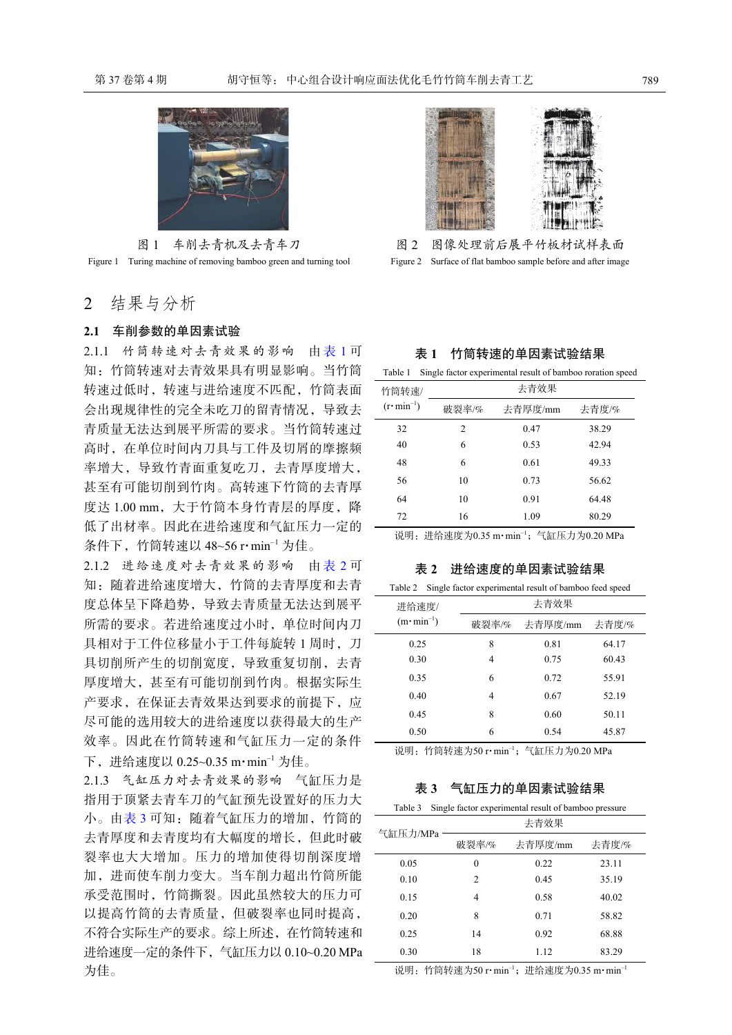<span id="page-2-0"></span>

图 1 车削去青机及去青车刀 Figure 1 Turing machine of removing bamboo green and turning tool

2 结果与分析

## **2.1** 车削参数的单因素试验

2.1.1 竹筒转速对去青效果的影响 由[表](#page-2-2)[1](#page-2-2)可 知:竹筒转速对去青效果具有明显影响。当竹筒 转速过低时,转速与进给速度不匹配,竹筒表面 会出现规律性的完全未吃刀的留青情况,导致去 青质量无法达到展平所需的要求。当竹筒转速过 高时,在单位时间内刀具与工件及切屑的摩擦频 率增大,导致竹青面重复吃刀,去青厚度增大, 甚至有可能切削到竹肉。高转速下竹筒的去青厚 度达 1.00 mm, 大于竹筒本身竹青层的厚度, 降 低了出材率。因此在进给速度和气缸压力一定的 条件下, 竹筒转速以 48~56 r·min<sup>-1</sup> 为佳。

2.1.2 进给速度对去青效果的影响 由[表](#page-2-3) [2](#page-2-3) 可 知:随着进给速度增大,竹筒的去青厚度和去青 度总体呈下降趋势,导致去青质量无法达到展平 所需的要求。若进给速度过小时,单位时间内刀 具相对于工件检移量小于工件每旋转 1 周时, 刀 具切削所产生的切削宽度,导致重复切削,去青 厚度增大,甚至有可能切削到竹肉。根据实际生 产要求,在保证去青效果达到要求的前提下,应 尽可能的选用较大的进给速度以获得最大的生产 效率。因此在竹筒转速和气缸压力一定的条件 下,进给速度以 0.25~0.35 m·min–1 为佳。

2.1.3 气缸压力对去青效果的影响 气缸压力是 指用于顶紧去青车刀的气缸预先设置好的压力大 小。由[表](#page-2-4) [3](#page-2-4) 可知:随着气缸压力的增加, 竹筒的 去青厚度和去青度均有大幅度的增长,但此时破 裂率也大大增加。压力的增加使得切削深度增 加,进而使车削力变大。当车削力超出竹筒所能 承受范围时,竹筒撕裂。因此虽然较大的压力可 以提高竹筒的去青质量,但破裂率也同时提高, 不符合实际生产的要求。综上所述,在竹筒转速和 进给速度一定的条件下,气缸压力以 0.10~0.20 MPa 为佳。

<span id="page-2-1"></span>



### 表 **1** 竹筒转速的单因素试验结果

<span id="page-2-2"></span>Table 1 Single factor experimental result of bamboo roration speed

| 竹筒转速/                       | 去青效果  |         |       |  |  |  |
|-----------------------------|-------|---------|-------|--|--|--|
| $(r \cdot \text{min}^{-1})$ | 破裂率/% | 去青厚度/mm | 去青度/% |  |  |  |
| 32                          | 2     | 0.47    | 38.29 |  |  |  |
| 40                          | 6     | 0.53    | 42.94 |  |  |  |
| 48                          | 6     | 0.61    | 49.33 |  |  |  |
| 56                          | 10    | 0.73    | 56.62 |  |  |  |
| 64                          | 10    | 0.91    | 64.48 |  |  |  |
| 72                          | 16    | 1.09    | 80.29 |  |  |  |

<span id="page-2-3"></span>说明:进给速度为0.35 m·min−1;气缸压力为0.20 MPa

表 **2** 进给速度的单因素试验结果

| Single factor experimental result of bamboo feed speed<br>Table 2 |      |               |       |  |  |  |  |
|-------------------------------------------------------------------|------|---------------|-------|--|--|--|--|
| 进给速度/                                                             | 去青效果 |               |       |  |  |  |  |
| $(m \cdot \text{min}^{-1})$                                       |      | 破裂率/% 去青厚度/mm | 去青度/% |  |  |  |  |
| 0.25                                                              | 8    | 0.81          | 64.17 |  |  |  |  |
| 0.30                                                              | 4    | 0.75          | 60.43 |  |  |  |  |
| 0.35                                                              | 6    | 0.72          | 55.91 |  |  |  |  |
| 0.40                                                              | 4    | 0.67          | 52.19 |  |  |  |  |
| 0.45                                                              | 8    | 0.60          | 50.11 |  |  |  |  |
| 0.50                                                              | 6    | 0.54          | 45.87 |  |  |  |  |

<span id="page-2-4"></span>说明: 竹筒转速为50 r·min<sup>-1</sup>; 气缸压力为0.20 MPa

表 **3** 气缸压力的单因素试验结果

Table 3 Single factor experimental result of bamboo pressure

| 气缸压力/MPa | 去青效果  |         |       |  |  |  |  |
|----------|-------|---------|-------|--|--|--|--|
|          | 破裂率/% | 去青厚度/mm | 去青度/% |  |  |  |  |
| 0.05     | 0     | 0.22    | 23.11 |  |  |  |  |
| 0.10     | 2     | 0.45    | 35.19 |  |  |  |  |
| 0.15     | 4     | 0.58    | 40.02 |  |  |  |  |
| 0.20     | 8     | 0.71    | 58.82 |  |  |  |  |
| 0.25     | 14    | 0.92    | 68.88 |  |  |  |  |
| 0.30     | 18    | 1.12    | 83.29 |  |  |  |  |

说明: 竹筒转速为50 r·min<sup>-1</sup>; 进给速度为0.35 m·min<sup>-1</sup>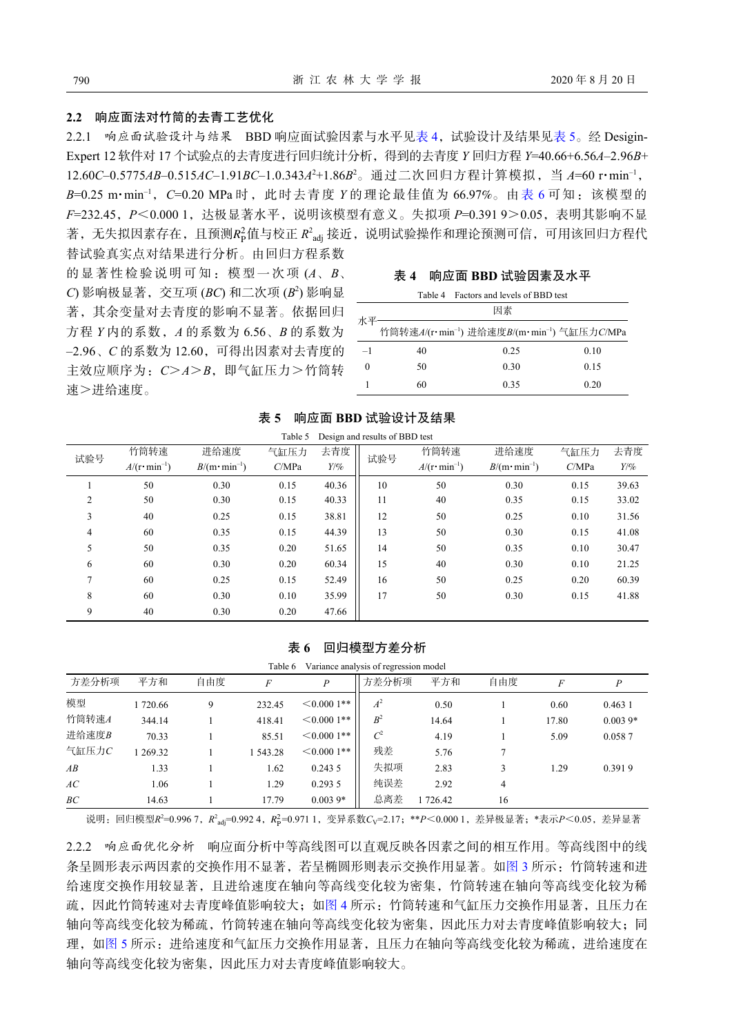#### **2.2** 响应面法对竹筒的去青工艺优化

著,无失拟因素存在,且预测 $R^2_\text{P}$ 值与校正  $R^2_\text{adj}$ 接近, 说明试验操作和理论预测可信, 可用该回归方程代 2.2.1 响应面试验设计与结果 BBD 响应面试验因素与水平[见表](#page-3-1) [4](#page-3-0),试验设计及结果见表 [5](#page-3-1)。经 Desigin-Expert 12 软件对 17 个试验点的去青度进行回归统计分析,得到的去青度 *Y* 回归方程 *Y*=40.66+6.56*A*–2.96*B*+ 12.60*C*–0.5775*AB*–0.515*AC*–1.91*BC*–1.0.343*A* <sup>2</sup>+1.86*B* <sup>2</sup>。通过二次回归方程计算模拟,当 *A*=60 r·min–1, *B*=0.25 m·min–1,*C*=0.20 MPa 时,此时去青度 *Y* 的理论最佳值为 66.97%。由[表](#page-3-2) [6](#page-3-2) 可知:该模型的 *F*=232.45,*P*<0.000 1,达极显著水平,说明该模型有意义。失拟项 *P*=0.391 9>0.05,表明其影响不显

替试验真实点对结果进行分析。由回归方程系数 的显著性检验说明可知:模型一次项 (*A*、*B*、 *C*) 影响极显著,交互项 (*BC*) 和二次项 (*B* 2 ) 影响显 著,其余变量对去青度的影响不显著。依据回归 方程 *Y* 内的系数,*A* 的系数为 6.56、*B* 的系数为 –2.96、*C* 的系数为 12.60,可得出因素对去青度的 主效应顺序为:*C*>*A*>*B*,即气缸压力>竹筒转 速>进给速度。

| 响应面 BBD 试验因素及水平<br>表 4 |  |
|------------------------|--|
|------------------------|--|

<span id="page-3-0"></span>

|      |    | Table 4 Factors and levels of BBD test                              |      |  |  |  |
|------|----|---------------------------------------------------------------------|------|--|--|--|
| 水平-  | 因素 |                                                                     |      |  |  |  |
|      |    | 竹筒转速A/(r·min <sup>-1</sup> ) 进给速度B/(m·min <sup>-1</sup> ) 气缸压力C/MPa |      |  |  |  |
| $-1$ | 40 | 0.25                                                                | 0.10 |  |  |  |
| 0    | 50 | 0.30                                                                | 0.15 |  |  |  |
|      | 60 | 0.35                                                                | 0.20 |  |  |  |

| Design and results of BBD test<br>Table 5 |                                      |                               |       |        |     |                                                                                |        |      |       |
|-------------------------------------------|--------------------------------------|-------------------------------|-------|--------|-----|--------------------------------------------------------------------------------|--------|------|-------|
| 试验号                                       | 竹筒转速                                 | 进给速度                          | 气缸压力  | 去青度    | 试验号 | 竹筒转速                                                                           | 进给速度   | 气缸压力 | 去青度   |
|                                           | $A/(\mathbf{r}\cdot\text{min}^{-1})$ | $B/(m \cdot \text{min}^{-1})$ | C/MPa | $Y/\%$ |     | $A/(\mathbf{r}\cdot\text{min}^{-1})$<br>$B/(m \cdot \text{min}^{-1})$<br>C/MPa | $Y/\%$ |      |       |
|                                           | 50                                   | 0.30                          | 0.15  | 40.36  | 10  | 50                                                                             | 0.30   | 0.15 | 39.63 |
| $\overline{2}$                            | 50                                   | 0.30                          | 0.15  | 40.33  | 11  | 40                                                                             | 0.35   | 0.15 | 33.02 |
| 3                                         | 40                                   | 0.25                          | 0.15  | 38.81  | 12  | 50                                                                             | 0.25   | 0.10 | 31.56 |
| 4                                         | 60                                   | 0.35                          | 0.15  | 44.39  | 13  | 50                                                                             | 0.30   | 0.15 | 41.08 |
| 5                                         | 50                                   | 0.35                          | 0.20  | 51.65  | 14  | 50                                                                             | 0.35   | 0.10 | 30.47 |
| 6                                         | 60                                   | 0.30                          | 0.20  | 60.34  | 15  | 40                                                                             | 0.30   | 0.10 | 21.25 |
| $\overline{7}$                            | 60                                   | 0.25                          | 0.15  | 52.49  | 16  | 50                                                                             | 0.25   | 0.20 | 60.39 |
| 8                                         | 60                                   | 0.30                          | 0.10  | 35.99  | 17  | 50                                                                             | 0.30   | 0.15 | 41.88 |
| 9                                         | 40                                   | 0.30                          | 0.20  | 47.66  |     |                                                                                |        |      |       |

#### <span id="page-3-1"></span>表 **5**  响应面 **BBD** 试验设计及结果

#### <span id="page-3-2"></span>表 **6**  回归模型方差分析

| Table 6<br>Variance analysis of regression model |         |     |                |                  |                 |        |     |       |           |
|--------------------------------------------------|---------|-----|----------------|------------------|-----------------|--------|-----|-------|-----------|
| 方差分析项                                            | 平方和     | 自由度 | $\overline{F}$ | $\boldsymbol{P}$ | 方差分析项           | 平方和    | 自由度 | F     |           |
| 模型                                               | 1720.66 | 9   | 232.45         | $\leq 0.0001**$  | $A^2$           | 0.50   |     | 0.60  | 0.4631    |
| 竹筒转速A                                            | 344.14  |     | 418.41         | $\leq 0.0001**$  | B <sup>2</sup>  | 14.64  |     | 17.80 | $0.0039*$ |
| 进给速度B                                            | 70.33   |     | 85.51          | $\leq 0.0001**$  | $\mathcal{C}^2$ | 4.19   |     | 5.09  | 0.0587    |
| 气缸压力C                                            | 269.32  |     | 1 543.28       | $\leq 0.0001**$  | 残差              | 5.76   |     |       |           |
| AB                                               | 1.33    |     | 1.62           | 0.2435           | 失拟项             | 2.83   |     | 1.29  | 0.3919    |
| АC                                               | 1.06    |     | 1.29           | 0.2935           | 纯误差             | 2.92   | 4   |       |           |
| BC                                               | 14.63   |     | 17.79          | $0.0039*$        | 总离差             | 726.42 | 16  |       |           |

说明:回归模型 $R^2$ =0.996 7,  $R^2_{\text{adj}}$ =0.992 4,  $R^2_{\text{p}}$ =0.971 1, 变异系数 $C_{\text{V}}$ =2.17; \*\* $P$ <0.000 1, 差异极显著; \*表示 $P$ <0.05, 差异显著

2.2.2 响应面优化分析 响应面分析中等高线图可以直观反映各因素之间的相互作用。等高线图中的线 条呈圆形表示两因素的交换作用不显著,若呈椭圆形则表示交换作用显著。如[图](#page-4-0) [3](#page-4-0) 所示: 竹筒转速和进 给速度交换作用较显著,且进给速度在轴向等高线变化较为密集,竹筒转速在轴向等高线变化较为稀 疏,因此竹筒转速对去青度峰值影响较大;[如图](#page-4-1) [4](#page-4-1) 所示: 竹筒转速和气缸压力交换作用显著, 且压力在 轴向等高线变化较为稀疏,竹筒转速在轴向等高线变化较为密集,因此压力对去青度峰值影响较大;同 理,如[图](#page-4-2) [5](#page-4-2) 所示: 进给速度和气缸压力交换作用显著,且压力在轴向等高线变化较为稀疏,进给速度在 轴向等高线变化较为密集,因此压力对去青度峰值影响较大。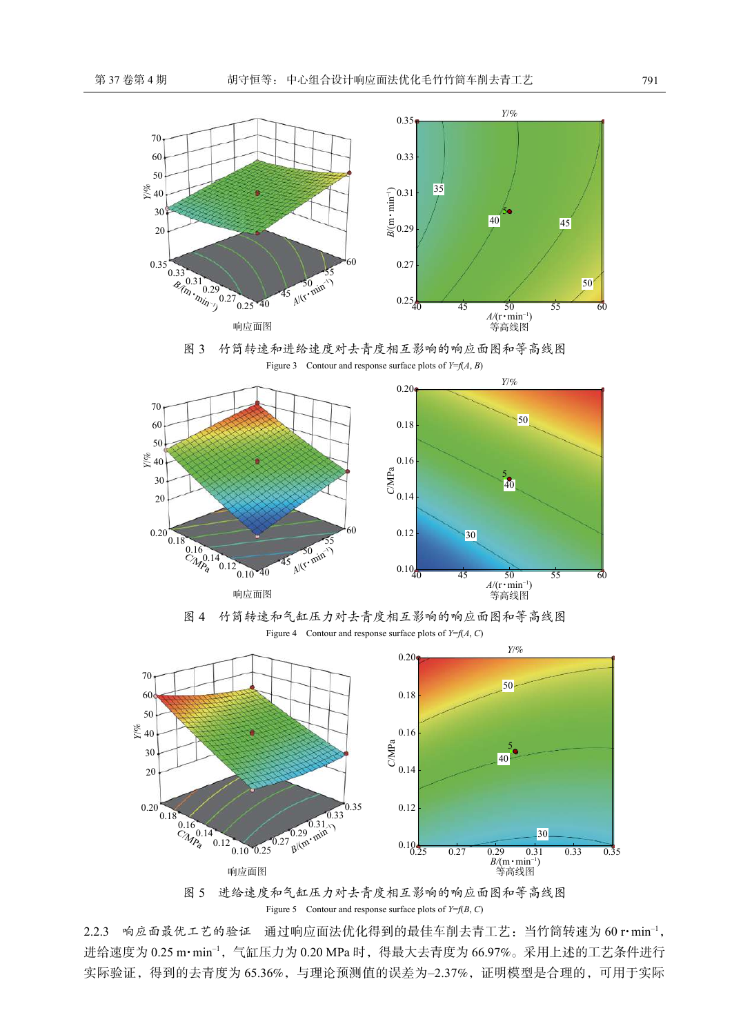<span id="page-4-0"></span>



<span id="page-4-1"></span>

图 4 竹筒转速和气缸压力对去青度相互影响的响应面图和等高线图 Figure 4 Contour and response surface plots of *Y*=*f*(*A*, *C*)

<span id="page-4-2"></span>

图 5 进给速度和气缸压力对去青度相互影响的响应面图和等高线图 Figure 5 Contour and response surface plots of  $Y=f(B, C)$ 

2.2.3 响应面最优工艺的验证 通过响应面法优化得到的最佳车削去青工艺: 当竹筒转速为 60 r·min<sup>-1</sup>, 进给速度为 0.25 m·min<sup>-1</sup>, 气缸压力为 0.20 MPa 时, 得最大去青度为 66.97%。采用上述的工艺条件进行 实际验证,得到的去青度为 65.36%,与理论预测值的误差为-2.37%,证明模型是合理的,可用于实际